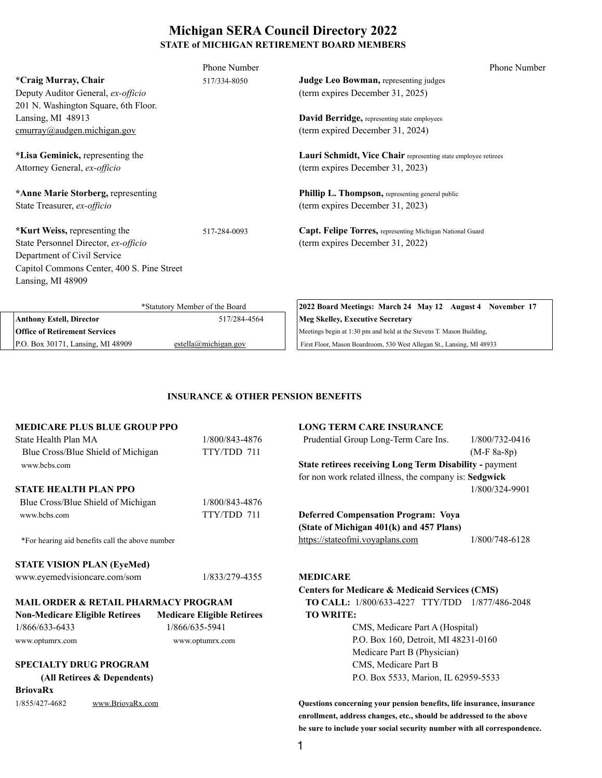## **Michigan SERA Council Directory 2022 STATE of MICHIGAN RETIREMENT BOARD MEMBERS**

|                                            | <b>Phone Number</b>            | <b>Phone Number</b>                                            |
|--------------------------------------------|--------------------------------|----------------------------------------------------------------|
| <i>*Craig Murray, Chair</i>                | 517/334-8050                   | <b>Judge Leo Bowman, representing judges</b>                   |
| Deputy Auditor General, ex-officio         |                                | (term expires December 31, 2025)                               |
| 201 N. Washington Square, 6th Floor.       |                                |                                                                |
| Lansing, MI 48913                          |                                | David Berridge, representing state employees                   |
| $cmurray$ @audgen.michigan.gov             |                                | (term expired December 31, 2024)                               |
| *Lisa Geminick, representing the           |                                | Lauri Schmidt, Vice Chair representing state employee retirees |
| Attorney General, ex-officio               |                                | (term expires December 31, 2023)                               |
| *Anne Marie Storberg, representing         |                                | <b>Phillip L. Thompson, representing general public</b>        |
| State Treasurer, ex-officio                |                                | (term expires December 31, 2023)                               |
| <b>*Kurt Weiss, representing the</b>       | 517-284-0093                   | Capt. Felipe Torres, representing Michigan National Guard      |
| State Personnel Director, ex-officio       |                                | (term expires December 31, 2022)                               |
| Department of Civil Service                |                                |                                                                |
| Capitol Commons Center, 400 S. Pine Street |                                |                                                                |
| Lansing, MI 48909                          |                                |                                                                |
|                                            | *Statutory Member of the Board | 2022 Board Meetings: March 24 May 12 August 4 November 17      |
| <b>Anthony Estell, Director</b>            | 517/284-4564                   | <b>Meg Skelley, Executive Secretary</b>                        |

| Anthony Estell, Director             | 517/284-4564         | <b>IMeg Skellev, Executive Secretary</b>                              |  |
|--------------------------------------|----------------------|-----------------------------------------------------------------------|--|
| <b>Office of Retirement Services</b> |                      | Meetings begin at 1:30 pm and held at the Stevens T. Mason Building,  |  |
| Lansing, MI 48909<br>P.O. Box 30171  | estella@michigan.gov | First Floor, Mason Boardroom, 530 West Allegan St., Lansing, MI 48933 |  |

www.optumrx.com www.optumrx.com P.O. Box 160, Detroit, MI 48231-0160 Medicare Part B (Physician)  **(All Retirees & Dependents)** P.O. Box 5533, Marion, IL 62959-5533

### **INSURANCE & OTHER PENSION BENEFITS**

| <b>MEDICARE PLUS BLUE GROUP PPO</b><br>State Health Plan MA<br>Blue Cross/Blue Shield of Michigan<br>www.bcbs.com | 1/800/843-4876<br>TTY/TDD 711 | <b>LONG TERM CARE INSURANCE</b><br>Prudential Group Long-Term Care Ins.<br><b>State retirees receiving Long Term Disability - payment</b><br>for non work related illness, the company is: Sedgwick | $1/800/732 - 0416$<br>$(M-F 8a-8p)$ |
|-------------------------------------------------------------------------------------------------------------------|-------------------------------|-----------------------------------------------------------------------------------------------------------------------------------------------------------------------------------------------------|-------------------------------------|
| <b>STATE HEALTH PLAN PPO</b>                                                                                      |                               |                                                                                                                                                                                                     | 1/800/324-9901                      |
| Blue Cross/Blue Shield of Michigan<br>www.bcbs.com                                                                | 1/800/843-4876<br>TTY/TDD 711 | <b>Deferred Compensation Program: Voya</b><br>(State of Michigan 401(k) and 457 Plans)                                                                                                              |                                     |
| *For hearing aid benefits call the above number                                                                   |                               | https://stateofmi.voyaplans.com                                                                                                                                                                     | 1/800/748-6128                      |
| <b>STATE VISION PLAN (EyeMed)</b>                                                                                 |                               |                                                                                                                                                                                                     |                                     |
| www.eyemedvisioncare.com/som                                                                                      | 1/833/279-4355                | <b>MEDICARE</b><br><b>Centers for Medicare &amp; Medicaid Services (CMS)</b>                                                                                                                        |                                     |

**MAIL ORDER & RETAIL PHARMACY PROGRAM TO CALL:** 1/800/633-4227 TTY/TDD 1/877/486-2048

**Non-Medicare Eligible Retirees Medicare Eligible Retirees TO WRITE:**  1/866/633-6433 1/866/635-5941 CMS, Medicare Part A (Hospital)

# **SPECIALTY DRUG PROGRAM** CMS, Medicare Part B

**BriovaRx**

1/855/427-4682 www.BriovaRx.com **Questions concerning your pension benefits, life insurance, insurance enrollment, address changes, etc., should be addressed to the above be sure to include your social security number with all correspondence.**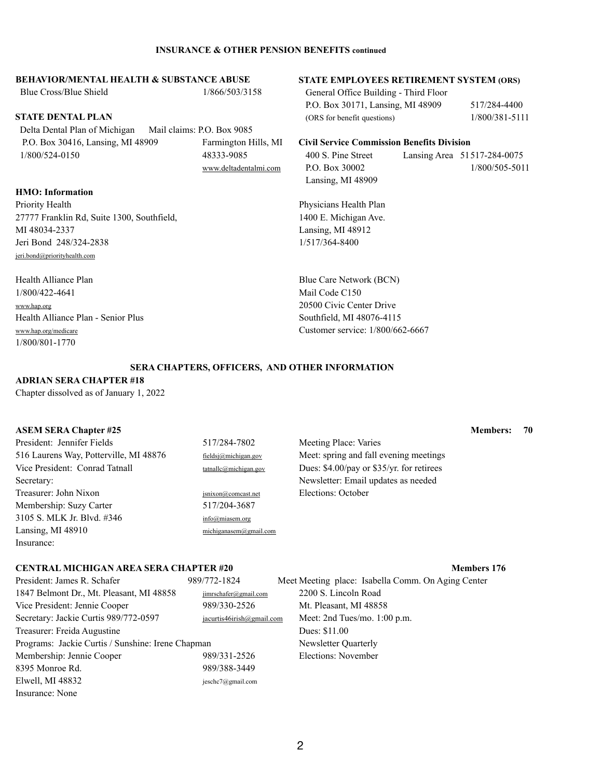#### **INSURANCE & OTHER PENSION BENEFITS continued**

Blue Cross/Blue Shield 1/866/503/3158 General Office Building - Third Floor

#### **BEHAVIOR/MENTAL HEALTH & SUBSTANCE ABUSE STATE EMPLOYEES RETIREMENT SYSTEM (ORS)**

P.O. Box 30171, Lansing, MI 48909 517/284-4400 **STATE DENTAL PLAN** (ORS for benefit questions) 1/800/381-5111

 Delta Dental Plan of Michigan Mail claims: P.O. Box 9085 P.O. Box 30416, Lansing, MI 48909 Farmington Hills, MI **Civil Service Commission Benefits Division** 1/800/524-0150 48333-9085 400 S. Pine Street Lansing Area 51517-284-0075

Priority Health Plan 27777 Franklin Rd, Suite 1300, Southfield, 1400 E. Michigan Ave. MI 48034-2337 Lansing, MI 48912 Jeri Bond 248/324-2838 1/517/364-8400 [jeri.bond@priorityhealth.com](mailto:jeri.bond@priorityhealth.com) 

Health Alliance Plan Blue Care Network (BCN) 1/800/422-4641 Mail Code C150 [www.hap.org](http://www.hap.org/) 20500 Civic Center Drive Health Alliance Plan - Senior Plus Southfield, MI 48076-4115 [www.hap.org/medicare](http://www.hap.org/medicare) Customer service: 1/800/662-6667 1/800/801-1770

Lansing, MI 48909

[www.deltadentalmi.com](http://www.deltadentalmi.com/) P.O. Box 30002 1/800/505-5011

#### **HMO: Information**

President: Jennifer Fields 517/284-7802 Meeting Place: Varies 516 Laurens Way, Potterville, MI 48876 [fieldsj@michigan.gov](mailto:jacurtis13irish@yahoo.com) Meet: spring and fall evening meetings Vice President: Conrad Tatnall tatnall [tatnallc@michigan.gov](mailto:tatnallc@michigan.gov) Dues: \$4.00/pay or \$35/yr. for retirees Secretary: Newsletter: Email updates as needed Treasurer: John Nixon [jsnixon@comcast.net](mailto:jsnixon@comcast.net) Elections: October Membership: Suzy Carter 517/204-3687 3105 S. MLK Jr. Blvd. #346 [info@miasem.org](mailto:info@miasem.org) Lansing, MI 48910 [michiganasem@gmail.com](mailto:michiganasem@gmail.com) Insurance:

### **CENTRAL MICHIGAN AREA SERA CHAPTER #20 Members 176**

1847 Belmont Dr., Mt. Pleasant, MI 48858 [jimrschafer@gmail.com](mailto:bandema@i2k.com) 2200 S. Lincoln Road

President: James R. Schafer 989/772-1824 Meet Meeting place: Isabella Comm. On Aging Center

### **SERA CHAPTERS, OFFICERS, AND OTHER INFORMATION**

### **ADRIAN SERA CHAPTER #18**

Chapter dissolved as of January 1, 2022

### **ASEM SERA Chapter #25 Members: 70**

Vice President: Jennie Cooper 989/330-2526 Mt. Pleasant, MI 48858 Secretary: Jackie Curtis 989/772-0597 [jacurtis46irish@gmail.com](mailto:jacurtis46irish@gmail.com) Meet: 2nd Tues/mo. 1:00 p.m. Treasurer: Freida Augustine Dues: \$11.00 Programs: Jackie Curtis / Sunshine: Irene Chapman Newsletter Quarterly Membership: Jennie Cooper 989/331-2526 Elections: November 8395 Monroe Rd. 989/388-3449 Elwell, MI 48832 jeschc7@gmail.com Insurance: None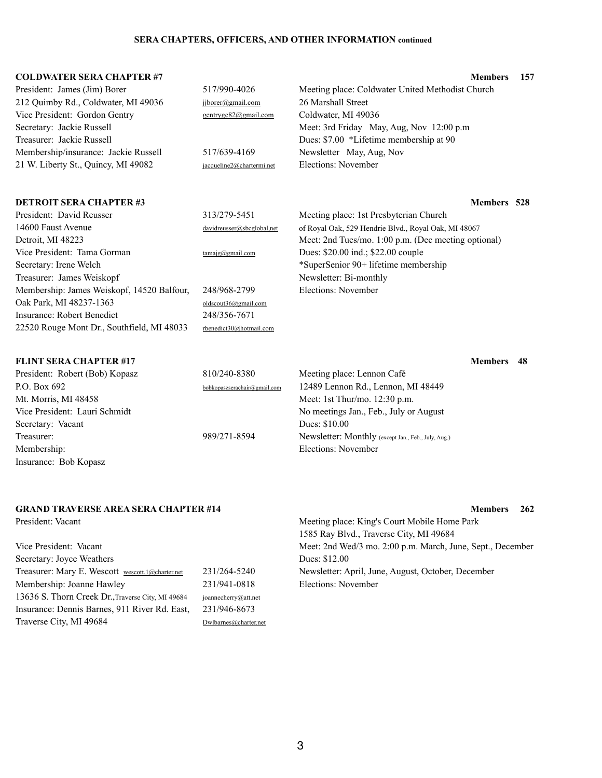#### **COLDWATER SERA CHAPTER #7 Members 157**

| President: James (Jim) Borer<br>212 Quimby Rd., Coldwater, MI 49036<br>Vice President: Gordon Gentry<br>Secretary: Jackie Russell<br>Treasurer: Jackie Russell<br>Membership/insurance: Jackie Russell<br>21 W. Liberty St., Quincy, MI 49082 | 517/990-4026<br>jjborer@gmail.com<br>gentrygc82@gmail.com<br>517/639-4169<br>jacqueline2@chartermi.net | Meeting place: Coldwater United Methodist Church<br>26 Marshall Street<br>Coldwater, MI 49036<br>Meet: 3rd Friday May, Aug, Nov 12:00 p.m<br>Dues: \$7.00 *Lifetime membership at 90<br>Newsletter May, Aug, Nov<br><b>Elections: November</b> |    |
|-----------------------------------------------------------------------------------------------------------------------------------------------------------------------------------------------------------------------------------------------|--------------------------------------------------------------------------------------------------------|------------------------------------------------------------------------------------------------------------------------------------------------------------------------------------------------------------------------------------------------|----|
| <b>DETROIT SERA CHAPTER #3</b>                                                                                                                                                                                                                |                                                                                                        | <b>Members</b> 528                                                                                                                                                                                                                             |    |
| President: David Reusser                                                                                                                                                                                                                      | 313/279-5451                                                                                           | Meeting place: 1st Presbyterian Church                                                                                                                                                                                                         |    |
| 14600 Faust Avenue                                                                                                                                                                                                                            | davidreusser@sbcglobal,net                                                                             | of Royal Oak, 529 Hendrie Blvd., Royal Oak, MI 48067                                                                                                                                                                                           |    |
| Detroit, MI 48223                                                                                                                                                                                                                             |                                                                                                        | Meet: 2nd Tues/mo. 1:00 p.m. (Dec meeting optional)                                                                                                                                                                                            |    |
| Vice President: Tama Gorman                                                                                                                                                                                                                   | tamaig@gmail.com                                                                                       | Dues: \$20.00 ind.; \$22.00 couple                                                                                                                                                                                                             |    |
| Secretary: Irene Welch                                                                                                                                                                                                                        |                                                                                                        | *SuperSenior 90+ lifetime membership                                                                                                                                                                                                           |    |
| Treasurer: James Weiskopf                                                                                                                                                                                                                     | 248/968-2799                                                                                           | Newsletter: Bi-monthly<br>Elections: November                                                                                                                                                                                                  |    |
| Membership: James Weiskopf, 14520 Balfour,<br>Oak Park, MI 48237-1363                                                                                                                                                                         |                                                                                                        |                                                                                                                                                                                                                                                |    |
| <b>Insurance: Robert Benedict</b>                                                                                                                                                                                                             | oldscout36@gmail.com<br>248/356-7671                                                                   |                                                                                                                                                                                                                                                |    |
| 22520 Rouge Mont Dr., Southfield, MI 48033                                                                                                                                                                                                    | rbenedict30@hotmail.com                                                                                |                                                                                                                                                                                                                                                |    |
|                                                                                                                                                                                                                                               |                                                                                                        |                                                                                                                                                                                                                                                |    |
| <b>FLINT SERA CHAPTER #17</b>                                                                                                                                                                                                                 |                                                                                                        | <b>Members</b>                                                                                                                                                                                                                                 | 48 |
| President: Robert (Bob) Kopasz                                                                                                                                                                                                                | 810/240-8380                                                                                           | Meeting place: Lennon Café                                                                                                                                                                                                                     |    |
| P.O. Box 692                                                                                                                                                                                                                                  | bobkopaszserachair@gmail.com                                                                           | 12489 Lennon Rd., Lennon, MI 48449                                                                                                                                                                                                             |    |
| Mt. Morris, MI 48458                                                                                                                                                                                                                          |                                                                                                        | Meet: 1st Thur/mo. 12:30 p.m.                                                                                                                                                                                                                  |    |
| $\mathbf{D}$ $\mathbf{I}$ $\mathbf{I}$ $\mathbf{I}$ $\mathbf{I}$ $\mathbf{I}$ $\mathbf{I}$ $\mathbf{I}$ $\mathbf{I}$ $\mathbf{I}$ $\mathbf{I}$                                                                                                |                                                                                                        |                                                                                                                                                                                                                                                |    |

Vice President: Lauri Schmidt No meetings Jan., Feb., July or August Secretary: Vacant Dues: \$10.00 Treasurer: 989/271-8594 Newsletter: Monthly (except Jan., Feb., July, Aug.) Membership: Elections: November

Insurance: Bob Kopasz

Secretary: Joyce Weathers Dues: \$12.00 Treasurer: Mary E. Wescott wescott.1@charter.net 231/264-5240 Newsletter: April, June, August, October, December Membership: Joanne Hawley 231/941-0818 Elections: November 13636 S. Thorn Creek Dr.,Traverse City, MI 49684 joannecherry@att.net Insurance: Dennis Barnes, 911 River Rd. East, 231/946-8673 Traverse City, MI 49684 [Dwlbarnes@charter.net](mailto:Dwlbarnes@charter.net)

President: Vacant Meeting place: King's Court Mobile Home Park 1585 Ray Blvd., Traverse City, MI 49684 Vice President: Vacant Meet: 2nd Wed/3 mo. 2:00 p.m. March, June, Sept., December

### **GRAND TRAVERSE AREA SERA CHAPTER #14 Members 262**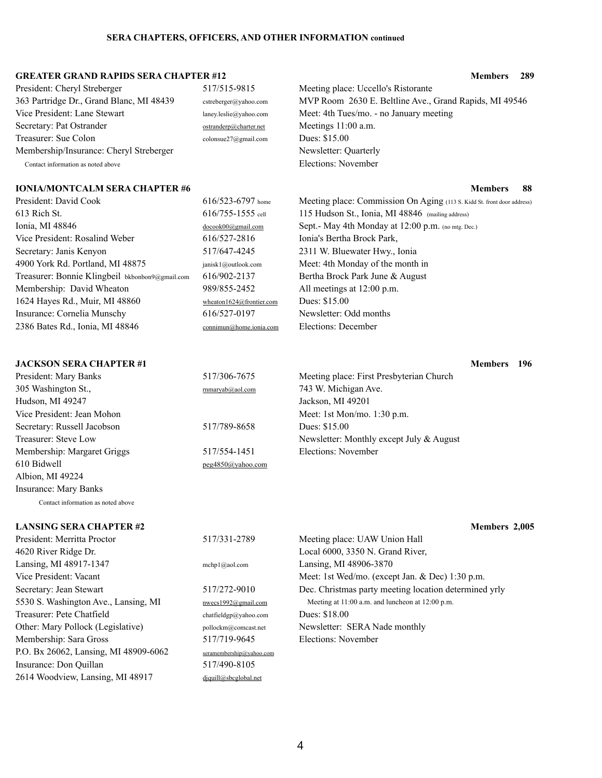#### **GREATER GRAND RAPIDS SERA CHAPTER #12 Members 289**

363 Partridge Dr., Grand Blanc, MI 48439 cstreberger@yahoo.com MVP Room 2630 E. Beltline Ave., Grand Rapids, MI 49546

President: David Cook 616/523-6797 home Meeting place: Commission On Aging (113 S. Kidd St. front door address) 613 Rich St. 616/755-1555 cell 115 Hudson St., Ionia, MI 48846 (mailing address) Ionia, MI 48846 [docook00@gmail.com](http://www.optumrx.com/) Sept.- May 4th Monday at 12:00 p.m. (no mtg. Dec.) Vice President: Rosalind Weber 616/527-2816 Ionia's Bertha Brock Park, Secretary: Janis Kenyon 517/647-4245 2311 W. Bluewater Hwy., Ionia 4900 York Rd. Portland, MI 48875 janisk1@outlook.com Meet: 4th Monday of the month in Treasurer: Bonnie Klingbeil bkbonbon9@gmail.com 616/902-2137 Bertha Brock Park June & August Membership: David Wheaton [989/855-2452](mailto:RobertAlway@charter.net) All meetings at 12:00 p.m. 1624 Hayes Rd., Muir, MI 48860 [wheaton1624@frontier.com](https://www.senate.gov/general/contact) Dues: \$15.00 Insurance: Cornelia Munschy [616/527-0197](mailto:bannlenoir@gmail.com) Newsletter: Odd months 2386 Bates Rd., Ionia, MI 48846 [connimun@home.ionia.com](mailto:jrwallin@sbcglobal.net) Elections: December

President: Cheryl Streberger 517/515-9815 Meeting place: Uccello's Ristorante Vice President: Lane Stewart laney.leslie@yahoo.com Meet: 4th Tues/mo. - no January meeting Secretary: Pat Ostrander ostrander [ostranderp@charter.net](mailto:ostrabnderp@charter.net) Meetings 11:00 a.m. Treasurer: Sue Colon colonsue27@gmail.com Dues: \$15.00 Membership/Insurance: Cheryl Streberger Newsletter: Quarterly Contact information as noted above Elections: November

#### **IONIA/MONTCALM SERA CHAPTER #6 Members** 88

President: Mary Banks 517/306-7675 305 Washington St., The Contract of the Turns of the Turns of the Turns of the Turns of the Turns of the Turns of the Turns of the Turns of the Turns of the Turns of the Turns of the Turns of the Turns of the Turns of the Hudson, MI 49247 Vice President: Jean Mohon Secretary: Russell Jacobson 517/789-8658 Treasurer: Steve Low Membership: Margaret Griggs 517/554-1451 610 Bidwell [peg4850@yahoo.com](mailto:peg4850@yahoo.com) Albion, MI 49224 Insurance: Mary Banks Contact information as noted above

| Meeting place: First Presbyterian Church   |
|--------------------------------------------|
| 743 W. Michigan Ave.                       |
| Jackson, MI 49201                          |
| Meet: 1st Mon/mo. $1:30$ p.m.              |
| Dues: \$15.00                              |
| Newsletter: Monthly except July $&$ August |
| Elections: November                        |
|                                            |

#### **JACKSON SERA CHAPTER #1 Members 196**

### **LANSING SERA CHAPTER #2 Members 2,005**

President: Merritta Proctor 517/331-2789 Meeting place: UAW Union Hall 4620 River Ridge Dr. Local 6000, 3350 N. Grand River, Lansing, MI 48917-1347 mchp1@aol.com Lansing, MI 48906-3870 Treasurer: Pete Chatfield chatfield chatfieldgp@yahoo.com Dues: \$18.00 Other: Mary Pollock (Legislative) pollockm@comcast.net Newsletter: SERA Nade monthly Membership: Sara Gross 517/719-9645 Elections: November P.O. Bx 26062, Lansing, MI 48909-6062 seramembership@yahoo.com Insurance: Don Quillan 517/490-8105 2614 Woodview, Lansing, MI 48917 [djquill@sbcglobal.net](mailto:jrwallin@sbcglobal.net)

Vice President: Vacant Meet: 1st Wed/mo. (except Jan. & Dec) 1:30 p.m. Secretary: Jean Stewart 517/272-9010 Dec. Christmas party meeting location determined yrly 5530 S. Washington Ave., Lansing, MI **[nwecs1992@gmail.com](mailto:nwecs1992@gmail.com)** Meeting at 11:00 a.m. and luncheon at 12:00 p.m.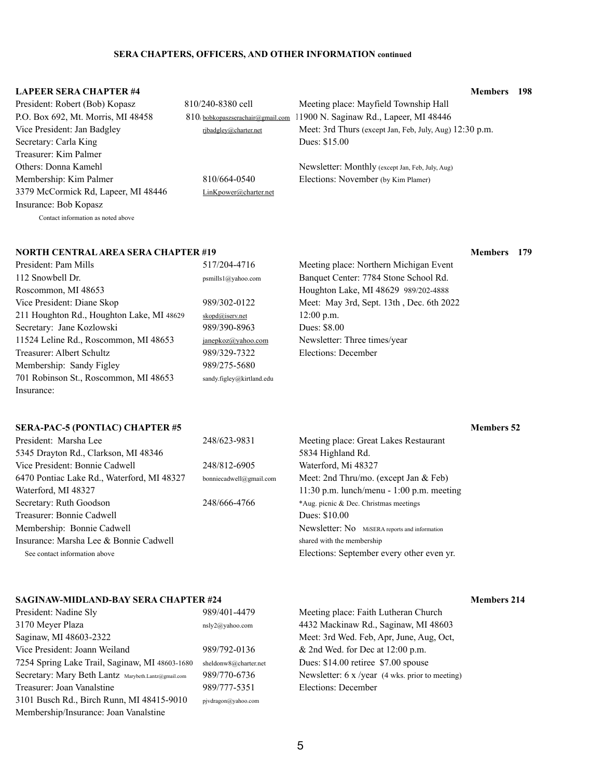### **LAPEER SERA CHAPTER #4 Members 198** President: Robert (Bob) Kopasz 810/240-8380 cell Meeting place: Mayfield Township Hall P.O. Box 692, Mt. Morris, MI 48458 810/bobkopaszserachair@gmail.com 1900 N. Saginaw Rd., Lapeer, MI 48446 Vice President: Jan Badgley *[rjbadgley@charter.net](mailto:rjbadgley@charter.net)* Meet: 3rd Thurs (except Jan, Feb, July, Aug) 12:30 p.m. Secretary: Carla King Dues: \$15.00 Treasurer: Kim Palmer Others: Donna Kamehl Newsletter: Monthly (except Jan, Feb, July, Aug) Membership: Kim Palmer 810/664-0540 Elections: November (by Kim Plamer) 3379 McCormick Rd, Lapeer, MI 48446 [LinKpower@charter.net](mailto:jrwallin@sbcglobal.net) Insurance: Bob Kopasz

Contact information as noted above

#### **NORTH CENTRAL AREA SERA CHAPTER #19 Members** 179

President: Nadine Sly 989/401-4479 Meeting place: Faith Lutheran Church 3170 Meyer Plaza nsly2@yahoo.com 4432 Mackinaw Rd., Saginaw, MI 48603 Saginaw, MI 48603-2322 Meet: 3rd Wed. Feb, Apr, June, Aug, Oct, Vice President: Joann Weiland 989/792-0136 & 2nd Wed. for Dec at 12:00 p.m. 7254 Spring Lake Trail, Saginaw, MI 48603-1680 sheldonw8@charter.net Dues: \$14.00 retiree \$7.00 spouse Secretary: Mary Beth Lantz Marybeth.Lantz@gmail.com 989/770-6736 Newsletter: 6 x /year (4 wks. prior to meeting) Treasurer: Joan Vanalstine 989/777-5351 Elections: December 3101 Busch Rd., Birch Runn, MI 48415-9010 pjvdragon@yahoo.com Membership/Insurance: Joan Vanalstine

| President: Pam Mills                      |
|-------------------------------------------|
| 112 Snowbell Dr.                          |
| Roscommon, MI 48653                       |
| Vice President: Diane Skop                |
| 211 Houghton Rd., Houghton Lake, MI 48629 |
| Secretary: Jane Kozlowski                 |
| 11524 Leline Rd., Roscommon, MI 48653     |
| <b>Treasurer: Albert Schultz</b>          |
| Membership: Sandy Figley                  |
| 701 Robinson St., Roscommon, MI 48653     |
| Insurance:                                |

# $\frac{\text{skopd@iserv.net}}{12:00 \text{ p.m.}}$  $\frac{\text{skopd@iserv.net}}{12:00 \text{ p.m.}}$  $\frac{\text{skopd@iserv.net}}{12:00 \text{ p.m.}}$ 989/390-8963 Dues: \$8.00 989/275-5680 sandy.figley@kirtland.edu

# 517/204-4716 Meeting place: Northern Michigan Event psmills1@yahoo.com Banquet Center: 7784 Stone School Rd. Houghton Lake, MI 48629 989/202-4888 989/302-0122 Meet: May 3rd, Sept. 13th, Dec. 6th 2022 [janepkoz@yahoo.com](mailto:janepkoz@yahoo.com) Newsletter: Three times/year 989/329-7322 Elections: December

# **SERA-PAC-5 (PONTIAC) CHAPTER #5 Members 52**

| President: Marsha Lee                      | 248/623-9831            | Meeting place: Great Lakes Restaurant         |  |
|--------------------------------------------|-------------------------|-----------------------------------------------|--|
| 5345 Drayton Rd., Clarkson, MI 48346       |                         | 5834 Highland Rd.                             |  |
| Vice President: Bonnie Cadwell             | 248/812-6905            | Waterford, Mi 48327                           |  |
| 6470 Pontiac Lake Rd., Waterford, MI 48327 | bonniecadwell@gmail.com | Meet: 2nd Thru/mo. (except Jan & Feb)         |  |
| Waterford, MI 48327                        |                         | 11:30 p.m. lunch/menu - 1:00 p.m. meeting     |  |
| Secretary: Ruth Goodson                    | 248/666-4766            | *Aug. picnic & Dec. Christmas meetings        |  |
| Treasurer: Bonnie Cadwell                  |                         | Dues: \$10.00                                 |  |
| Membership: Bonnie Cadwell                 |                         | Newsletter: No MiSERA reports and information |  |
| Insurance: Marsha Lee & Bonnie Cadwell     |                         | shared with the membership                    |  |
| See contact information above              |                         | Elections: September every other even yr.     |  |

### **SAGINAW-MIDLAND-BAY SERA CHAPTER #24 Members 214**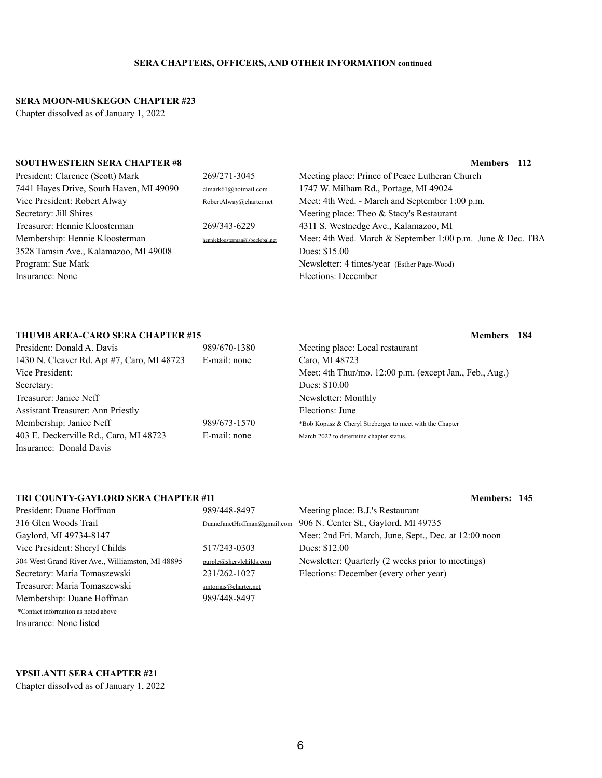#### **SERA MOON-MUSKEGON CHAPTER #23**

Chapter dissolved as of January 1, 2022

#### **SOUTHWESTERN SERA CHAPTER #8 Members 112**

| President: Clarence (Scott) Mark        | 269/271-3045                    | Meeting place: Prince of Peace Lutheran Church             |
|-----------------------------------------|---------------------------------|------------------------------------------------------------|
| 7441 Hayes Drive, South Haven, MI 49090 | clmark61@hotmail.com            | 1747 W. Milham Rd., Portage, MI 49024                      |
| Vice President: Robert Alway            | RobertAlway@charter.net         | Meet: 4th Wed. - March and September 1:00 p.m.             |
| Secretary: Jill Shires                  |                                 | Meeting place: Theo $\&$ Stacy's Restaurant                |
| Treasurer: Hennie Kloosterman           | 269/343-6229                    | 4311 S. Westnedge Ave., Kalamazoo, MI                      |
| Membership: Hennie Kloosterman          | henniekloosterman@sbcglobal.net | Meet: 4th Wed. March & September 1:00 p.m. June & Dec. TBA |
| 3528 Tamsin Ave., Kalamazoo, MI 49008   |                                 | Dues: \$15.00                                              |
| Program: Sue Mark                       |                                 | Newsletter: 4 times/year (Esther Page-Wood)                |
| Insurance: None                         |                                 | Elections: December                                        |

### **THUMB AREA-CARO SERA CHAPTER #15 Members 184**

| President: Donald A. Davis                 | 989/670-1380 | Meeting place: Local restaurant                          |
|--------------------------------------------|--------------|----------------------------------------------------------|
| 1430 N. Cleaver Rd. Apt #7, Caro, MI 48723 | E-mail: none | Caro, MI 48723                                           |
| Vice President:                            |              | Meet: 4th Thur/mo. 12:00 p.m. (except Jan., Feb., Aug.)  |
| Secretary:                                 |              | Dues: \$10.00                                            |
| Treasurer: Janice Neff                     |              | Newsletter: Monthly                                      |
| <b>Assistant Treasurer: Ann Priestly</b>   |              | Elections: June                                          |
| Membership: Janice Neff                    | 989/673-1570 | *Bob Kopasz & Cheryl Streberger to meet with the Chapter |
| 403 E. Deckerville Rd., Caro, MI 48723     | E-mail: none | March 2022 to determine chapter status.                  |
| Insurance: Donald Davis                    |              |                                                          |

### **TRI COUNTY-GAYLORD SERA CHAPTER #11 Members: 145**

| President: Duane Hoffman                         | 989/448-8497            | Meeting place: B.J.'s Restaurant                                 |
|--------------------------------------------------|-------------------------|------------------------------------------------------------------|
| 316 Glen Woods Trail                             |                         | DuaneJanetHoffman@gmail.com 906 N. Center St., Gaylord, MI 49735 |
| Gaylord, MI 49734-8147                           |                         | Meet: 2nd Fri. March, June, Sept., Dec. at 12:00 noon            |
| Vice President: Sheryl Childs                    | 517/243-0303            | Dues: \$12.00                                                    |
| 304 West Grand River Ave., Williamston, MI 48895 | purple@sherylchilds.com | Newsletter: Quarterly (2 weeks prior to meetings)                |
| Secretary: Maria Tomaszewski                     | 231/262-1027            | Elections: December (every other year)                           |
| Treasurer: Maria Tomaszewski                     | smtomas@charter.net     |                                                                  |

\*Contact information as noted above Insurance: None listed

Treasurer:

### **YPSILANTI SERA CHAPTER #21**

Chapter dissolved as of January 1, 2022

6

Membership: Duane Hoffman 989/448-8497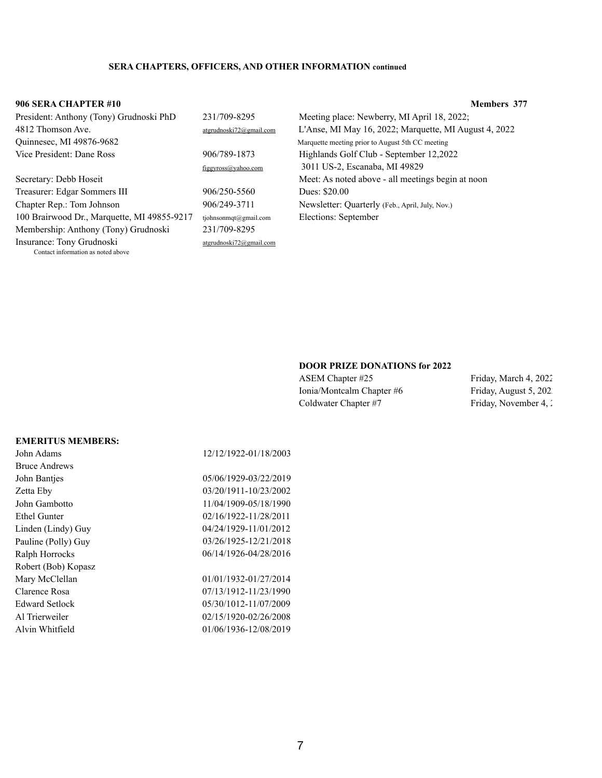#### **906 SERA CHAPTER #10 Members 377**

Edward Setlock 05/30/1012-11/07/2009 Al Trierweiler 02/15/1920-02/26/2008 Alvin Whitfield 01/06/1936-12/08/2019

| President: Anthony (Tony) Grudnoski PhD     | 231/709-8295            |
|---------------------------------------------|-------------------------|
| 4812 Thomson Ave.                           | atgrudnoski72@gmail.com |
| Quinnesec, MI 49876-9682                    |                         |
| Vice President: Dane Ross                   | 906/789-1873            |
|                                             | figgyross@yahoo.com     |
| Secretary: Debb Hoseit                      |                         |
| Treasurer: Edgar Sommers III                | 906/250-5560            |
| Chapter Rep.: Tom Johnson                   | 906/249-3711            |
| 100 Brairwood Dr., Marquette, MI 49855-9217 | tjohnsonmqt@gmail.com   |
| Membership: Anthony (Tony) Grudnoski        | 231/709-8295            |
| Insurance: Tony Grudnoski                   | atgrudnoski72@gmail.com |
|                                             |                         |

Contact information as noted above

Meeting place: Newberry, MI April 18, 2022;  $\frac{4}{12}$  L'Anse, MI May 16, 2022; Marquette, MI August 4, 2022 Marquette meeting prior to August 5th CC meeting Highlands Golf Club - September 12,2022  $f_{\text{om}}$  3011 US-2, Escanaba, MI 49829 Meet: As noted above - all meetings begin at noon Dues: \$20.00 Newsletter: Quarterly (Feb., April, July, Nov.) il.com Elections: September

#### **DOOR PRIZE DONATIONS for 2022**

ASEM Chapter #25 Friday, March 4, 2022 Ionia/Montcalm Chapter #6 Friday, August 5, 202 Coldwater Chapter #7 Friday, November 4, 2022

#### **EMERITUS MEMBERS:**

| John Adams           | 12/12/1922-01/18/2003 |
|----------------------|-----------------------|
| <b>Bruce Andrews</b> |                       |
| John Banties         | 05/06/1929-03/22/2019 |
| <b>Zetta Eby</b>     | 03/20/1911-10/23/2002 |
| John Gambotto        | 11/04/1909-05/18/1990 |
| <b>Ethel Gunter</b>  | 02/16/1922-11/28/2011 |
| Linden (Lindy) Guy   | 04/24/1929-11/01/2012 |
| Pauline (Polly) Guy  | 03/26/1925-12/21/2018 |
| Ralph Horrocks       | 06/14/1926-04/28/2016 |
| Robert (Bob) Kopasz  |                       |
| Mary McClellan       | 01/01/1932-01/27/2014 |
| Clarence Rosa        | 07/13/1912-11/23/1990 |
|                      |                       |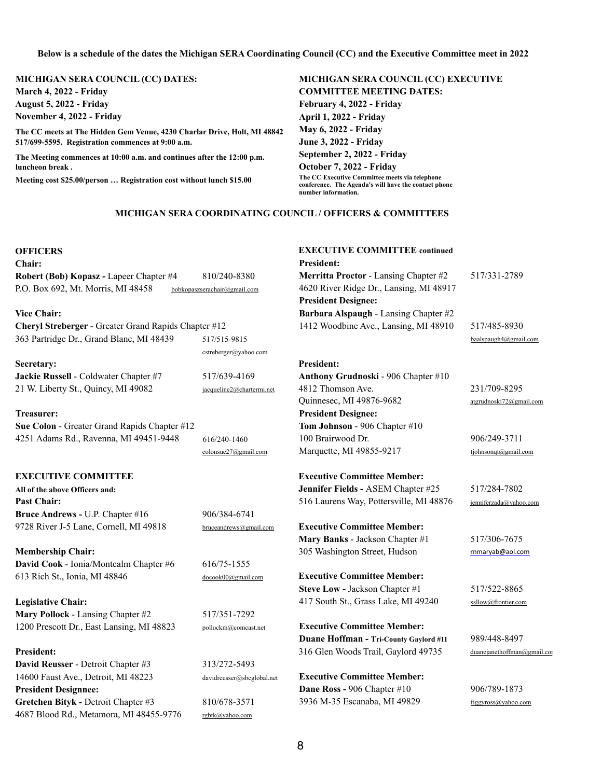#### **Below is a schedule of the dates the Michigan SERA Coordinating Council (CC) and the Executive Committee meet in 2022**

# **MICHIGAN SERA COUNCIL (CC) DATES: MICHIGAN SERA COUNCIL (CC) EXECUTIVE**

**March 4, 2022 - Friday COMMITTEE MEETING DATES: August 5, 2022 - Friday February 4, 2022 - Friday** 

**November 4, 2022 - Friday April 1, 2022 - Friday April 1, 2022 - Friday May 6, 2022 - Friday June 3, 2022 - Friday September 2, 2022 - Friday October 7, 2022 - Friday**

**The CC meets at The Hidden Gem Venue, 4230 Charlar Drive, Holt, MI 48842 517/699-5595. Registration commences at 9:00 a.m.** 

**Chair: President: Robert (Bob) Kopasz -** Lapeer Chapter #4 810/240-8380 **Merritta Proctor** - Lansing Chapter #2 517/331-2789 P.O. Box 692, Mt. Morris, MI 48458 bobkopaszserachair@gmail.com 4620 River Ridge Dr., Lansing, MI 48917

#### **Vice Chair: Barbara Alspaugh - Lansing Chapter #2**

**The Meeting commences at 10:00 a.m. and continues after the 12:00 p.m. luncheon break .** 

**Meeting cost \$25.00/person … Registration cost without lunch \$15.00 The CC Executive Committee meets via telephone** 

**Cheryl Streberger - Greater Grand Rapids Chapter #12** 1412 Woodbine Ave., Lansing, MI 48910 517/485-8930 363 Partridge Dr., Grand Blanc, MI 48439 517/515-9815 [baalspaugh4@gmail.com](mailto:baalspaugh4@gmail.com)

**Secretary: President: Jackie Russell** - Coldwater Chapter #7 517/639-4169 **Anthony Grudnoski** - 906 Chapter #10 21 W. Liberty St., Quincy, MI 49082 [jacqueline2@chartermi.net](http://www.hap.org/) 4812 Thomson Ave. 231/709-8295

**conference. The Agenda's will have the contact phone number information.** 

#### **MICHIGAN SERA COORDINATING COUNCIL / OFFICERS & COMMITTEES**

#### **OFFICERS EXECUTIVE COMMITTEE continued**

**President Designee:**

**Mary Banks** - Jackson Chapter #1 517/306-7675

**Steve Low - Jackson Chapter #1** 517/522-8865 **Legislative Chair:** South St., Grass Lake, MI 49240 [ssllow@frontier.com](mailto:ssllow@frontier.com)

Quinnesec, MI 49876-9682 atgrudnoski72@gmail.com

[colonsue27@gmail.com](http://www.hap.org/) Marquette, MI 49855-9217 [tjohnsonqt@gmail.com](mailto:tamajg@gmail.com)

**Membership Chair:** The Music Street, Hudson and The Theorem and The Theorem 205 Washington Street, Hudson *[rnmaryab@aol.com](mailto:rnmaryab@aol.com)* **David Cook - Ionia/Montcalm Chapter #6 616/75-1555** 613 Rich St., Ionia, MI 48846 [docook00@gmail.com](mailto:docook00@gmail.com) **Executive Committee Member:**

**Mary Pollock** - Lansing Chapter #2 517/351-7292 1200 Prescott Dr., East Lansing, MI 48823 pollockm@comcast.net **Executive Committee Member:**

**Duane Hoffman - Tri-County Gaylord #11** 989/448-8497 **President:** 316 Glen Woods Trail, Gaylord 49735 [duanejanethoffman@gmail.com](mailto:duanejanethoffman@gmail.com)

**David Reusser** - Detroit Chapter #3 313/272-5493 14600 Faust Ave., Detroit, MI 48223 davidreusser@sbcglobal.net **Executive Committee Member: President Designnee: Dane Ross - 906 Chapter #10** 906/789-1873 **Gretchen Bityk -** Detroit Chapter #3 810/678-3571 3936 M-35 Escanaba, MI 49829 figgyross@yahoo.com 4687 Blood Rd., Metamora, MI 48455-9776 [rgbtk@yahoo.com](mailto:rgbtk@yahoo.com)

cstreberger@yahoo.com

**Treasurer: President Designee: Sue Colon** - Greater Grand Rapids Chapter #12 **Tom Johnson** - 906 Chapter #10 4251 Adams Rd., Ravenna, MI 49451-9448 616/240-1460 100 Brairwood Dr. 906/249-3711

#### **EXECUTIVE COMMITTEE Executive Committee Member:**

**All of the above Officers and: Jennifer Fields -** ASEM Chapter #25 517/284-7802 **Past Chair:** 516 Laurens Way, Pottersville, MI 48876 *[jenniferzada@yahoo.com](mailto:jenniferzada@yahoo.com)* **Bruce Andrews - U.P. Chapter #16** 906/384-6741 9728 River J-5 Lane, Cornell, MI 49818 [bruceandrews@gmail.com](http://www.hap.org/) **Executive Committee Member:**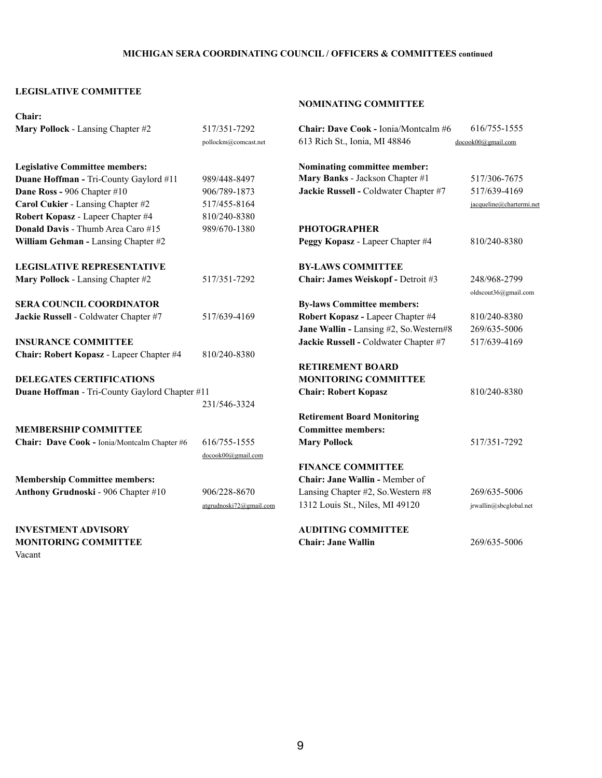### **MICHIGAN SERA COORDINATING COUNCIL / OFFICERS & COMMITTEES continued**

### **LEGISLATIVE COMMITTEE**

### **NOMINATING COMMITTEE**

| <b>Chair:</b>                                         |                         |                                             |                                      |
|-------------------------------------------------------|-------------------------|---------------------------------------------|--------------------------------------|
| Mary Pollock - Lansing Chapter #2                     | 517/351-7292            | <b>Chair: Dave Cook - Ionia/Montcalm #6</b> | 616/755-1555                         |
|                                                       | pollockm@comcast.net    | 613 Rich St., Ionia, MI 48846               | docook00@gmail.com                   |
| <b>Legislative Committee members:</b>                 |                         | Nominating committee member:                |                                      |
| <b>Duane Hoffman - Tri-County Gaylord #11</b>         | 989/448-8497            | Mary Banks - Jackson Chapter #1             | 517/306-7675                         |
| <b>Dane Ross - 906 Chapter #10</b>                    | 906/789-1873            | Jackie Russell - Coldwater Chapter #7       | 517/639-4169                         |
| Carol Cukier - Lansing Chapter #2                     | 517/455-8164            |                                             | jacqueline@chartermi.net             |
| Robert Kopasz - Lapeer Chapter #4                     | 810/240-8380            |                                             |                                      |
| <b>Donald Davis - Thumb Area Caro #15</b>             | 989/670-1380            | <b>PHOTOGRAPHER</b>                         |                                      |
| William Gehman - Lansing Chapter #2                   |                         | Peggy Kopasz - Lapeer Chapter #4            | 810/240-8380                         |
| <b>LEGISLATIVE REPRESENTATIVE</b>                     |                         | <b>BY-LAWS COMMITTEE</b>                    |                                      |
| Mary Pollock - Lansing Chapter #2                     | 517/351-7292            | <b>Chair: James Weiskopf - Detroit #3</b>   | 248/968-2799<br>oldscout36@gmail.com |
| <b>SERA COUNCIL COORDINATOR</b>                       |                         | <b>By-laws Committee members:</b>           |                                      |
| Jackie Russell - Coldwater Chapter #7                 | 517/639-4169            | <b>Robert Kopasz - Lapeer Chapter #4</b>    | 810/240-8380                         |
|                                                       |                         | Jane Wallin - Lansing #2, So. Western#8     | 269/635-5006                         |
| <b>INSURANCE COMMITTEE</b>                            |                         | Jackie Russell - Coldwater Chapter #7       | 517/639-4169                         |
| <b>Chair: Robert Kopasz - Lapeer Chapter #4</b>       | 810/240-8380            |                                             |                                      |
|                                                       |                         | <b>RETIREMENT BOARD</b>                     |                                      |
| <b>DELEGATES CERTIFICATIONS</b>                       |                         | <b>MONITORING COMMITTEE</b>                 |                                      |
| <b>Duane Hoffman</b> - Tri-County Gaylord Chapter #11 |                         | <b>Chair: Robert Kopasz</b>                 | 810/240-8380                         |
|                                                       | 231/546-3324            |                                             |                                      |
|                                                       |                         | <b>Retirement Board Monitoring</b>          |                                      |
| <b>MEMBERSHIP COMMITTEE</b>                           |                         | <b>Committee members:</b>                   |                                      |
| Chair: Dave Cook - Ionia/Montcalm Chapter #6          | 616/755-1555            | <b>Mary Pollock</b>                         | 517/351-7292                         |
|                                                       | docook00@gmail.com      |                                             |                                      |
|                                                       |                         | <b>FINANCE COMMITTEE</b>                    |                                      |
| <b>Membership Committee members:</b>                  |                         | <b>Chair: Jane Wallin - Member of</b>       |                                      |
| <b>Anthony Grudnoski - 906 Chapter #10</b>            | 906/228-8670            | Lansing Chapter #2, So. Western #8          | 269/635-5006                         |
|                                                       | atgrudnoski72@gmail.com | 1312 Louis St., Niles, MI 49120             | jrwallin@sbcglobal.net               |
| <b>INVESTMENT ADVISORY</b>                            |                         | <b>AUDITING COMMITTEE</b>                   |                                      |
| <b>MONITORING COMMITTEE</b><br>Vacant                 |                         | <b>Chair: Jane Wallin</b>                   | 269/635-5006                         |